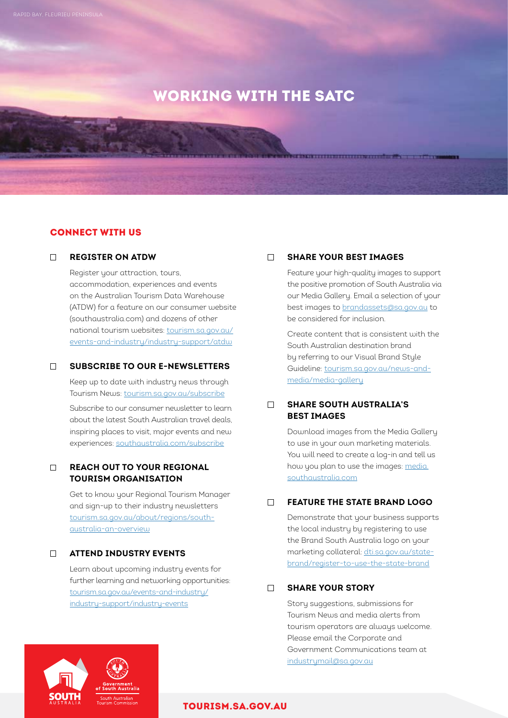# WORKING WITH THE SATC

# CONNECT WITH US

#### **REGISTER ON ATDW**

 Register your attraction, tours, accommodation, experiences and events on the Australian Tourism Data Warehouse (ATDW) for a feature on our consumer website (southaustralia.com) and dozens of other national tourism websites: [tourism.sa.gov.au/](http://www.tourism.sa.gov.au/events-and-industry/industry-support/atdw) [events-and-industry/industry-support/atdw](http://www.tourism.sa.gov.au/events-and-industry/industry-support/atdw)

#### **SUBSCRIBE TO OUR E-NEWSLETTERS**

 Keep up to date with industry news through Tourism News: [tourism.sa.gov.au/subscribe](http://www.tourism.sa.gov.au/subscribe)

Subscribe to our consumer newsletter to learn about the latest South Australian travel deals, inspiring places to visit, major events and new experiences: [southaustralia.com/subscribe](http://www.southaustralia.com/subscribe )

# **REACH OUT TO YOUR REGIONAL TOURISM ORGANISATION**

 Get to know your Regional Tourism Manager and sign-up to their industry newsletters [tourism.sa.gov.au/about/regions/south](https://tourism.sa.gov.au/about/regions/south-australia-an-overview)[australia-an-overview](https://tourism.sa.gov.au/about/regions/south-australia-an-overview)

#### **ATTEND INDUSTRY EVENTS**

 Learn about upcoming industry events for further learning and networking opportunities: [tourism.sa.gov.au/events-and-industry/](https://tourism.sa.gov.au/events-and-industry/industry-support/industry-events) [industry-support/industry-events](https://tourism.sa.gov.au/events-and-industry/industry-support/industry-events)

### **SHARE YOUR BEST IMAGES**

 Feature your high-quality images to support the positive promotion of South Australia via our Media Gallery. Email a selection of your best images to [brandassets@sa.gov.au](mailto:brandassets%40sa.gov.au?subject=) to be considered for inclusion.

 Create content that is consistent with the South Australian destination brand by referring to our Visual Brand Style Guideline: [tourism.sa.gov.au/news-and](https://tourism.sa.gov.au/news-and-media/media-gallery)[media/media-gallery](https://tourism.sa.gov.au/news-and-media/media-gallery)

# **SHARE SOUTH AUSTRALIA'S BEST IMAGES**

 Download images from the Media Gallery to use in your own marketing materials. You will need to create a log-in and tell us how you plan to use the images: [media.](http://media.southaustralia.com) [southaustralia.com](http://media.southaustralia.com)

## **FEATURE THE STATE BRAND LOGO**

 Demonstrate that your business supports the local industry by registering to use the Brand South Australia logo on your marketing collateral: [dti.sa.gov.au/state](https://dti.sa.gov.au/state-brand/register-to-use-the-state-brand)[brand/register-to-use-the-state-brand](https://dti.sa.gov.au/state-brand/register-to-use-the-state-brand)

#### **SHARE YOUR STORY**

Story suggestions, submissions for Tourism News and media alerts from tourism operators are always welcome. Please email the Corporate and Government Communications team at [industrymail@sa.gov.au](mailto:industrymail%40sa.gov.au?subject=)



#### [TOURISM.SA.GOV.AU](http://tourism.sa.gov.au)